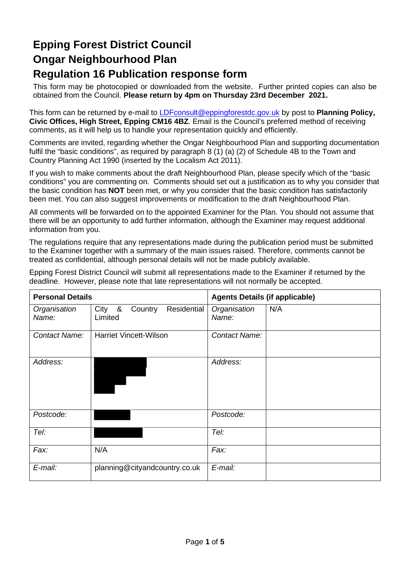# **Epping Forest District Council Ongar Neighbourhood Plan Regulation 16 Publication response form**

This form may be photocopied or downloaded from the website. Further printed copies can also be obtained from the Council. **Please return by 4pm on Thursday 23rd December 2021.** 

This form can be returned by e-mail to [LDFconsult@eppingforestdc.gov.uk](mailto:LDFconsult@eppingforestdc.gov.uk) by post to **Planning Policy, Civic Offices, High Street, Epping CM16 4BZ**. Email is the Council's preferred method of receiving comments, as it will help us to handle your representation quickly and efficiently.

Comments are invited, regarding whether the Ongar Neighbourhood Plan and supporting documentation fulfil the "basic conditions", as required by paragraph 8 (1) (a) (2) of Schedule 4B to the Town and Country Planning Act 1990 (inserted by the Localism Act 2011).

If you wish to make comments about the draft Neighbourhood Plan, please specify which of the "basic conditions" you are commenting on. Comments should set out a justification as to why you consider that the basic condition has **NOT** been met, or why you consider that the basic condition has satisfactorily been met. You can also suggest improvements or modification to the draft Neighbourhood Plan.

All comments will be forwarded on to the appointed Examiner for the Plan. You should not assume that there will be an opportunity to add further information, although the Examiner may request additional information from you.

The regulations require that any representations made during the publication period must be submitted to the Examiner together with a summary of the main issues raised. Therefore, comments cannot be treated as confidential, although personal details will not be made publicly available.

Epping Forest District Council will submit all representations made to the Examiner if returned by the deadline. However, please note that late representations will not normally be accepted.

| <b>Personal Details</b> |                                             | <b>Agents Details (if applicable)</b> |     |
|-------------------------|---------------------------------------------|---------------------------------------|-----|
| Organisation<br>Name:   | City &<br>Country<br>Residential<br>Limited | Organisation<br>Name:                 | N/A |
| Contact Name:           | <b>Harriet Vincett-Wilson</b>               | <b>Contact Name:</b>                  |     |
| Address:                |                                             | Address:                              |     |
| Postcode:               |                                             | Postcode:                             |     |
| Tel:                    |                                             | Tel:                                  |     |
| Fax:                    | N/A                                         | Fax:                                  |     |
| E-mail:                 | planning@cityandcountry.co.uk               | E-mail:                               |     |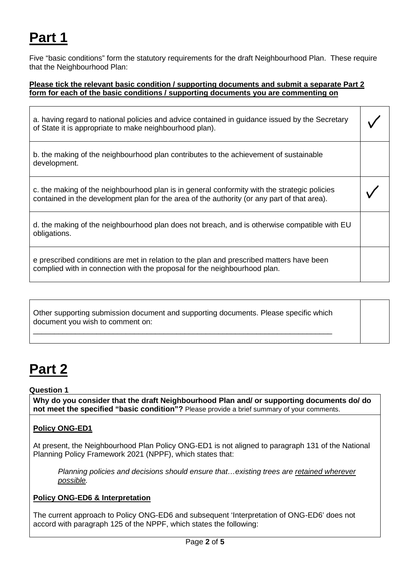# **Part 1**

Five "basic conditions" form the statutory requirements for the draft Neighbourhood Plan. These require that the Neighbourhood Plan:

### **Please tick the relevant basic condition / supporting documents and submit a separate Part 2 form for each of the basic conditions / supporting documents you are commenting on**

| a. having regard to national policies and advice contained in guidance issued by the Secretary |  |  |
|------------------------------------------------------------------------------------------------|--|--|
| of State it is appropriate to make neighbourhood plan).                                        |  |  |

b. the making of the neighbourhood plan contributes to the achievement of sustainable development.

c. the making of the neighbourhood plan is in general conformity with the strategic policies contained in the development plan for the area of the authority (or any part of that area).

| d. the making of the neighbourhood plan does not breach, and is otherwise compatible with EU |  |
|----------------------------------------------------------------------------------------------|--|
| obligations.                                                                                 |  |

e prescribed conditions are met in relation to the plan and prescribed matters have been complied with in connection with the proposal for the neighbourhood plan.

| Other supporting submission document and supporting documents. Please specific which |  |
|--------------------------------------------------------------------------------------|--|
| document you wish to comment on:                                                     |  |

\_\_\_\_\_\_\_\_\_\_\_\_\_\_\_\_\_\_\_\_\_\_\_\_\_\_\_\_\_\_\_\_\_\_\_\_\_\_\_\_\_\_\_\_\_\_\_\_\_\_\_\_\_\_\_\_\_\_\_\_\_\_\_\_\_\_\_\_\_\_\_

# **Part 2**

### **Question 1**

**Why do you consider that the draft Neighbourhood Plan and/ or supporting documents do/ do not meet the specified "basic condition"?** Please provide a brief summary of your comments.

### **Policy ONG-ED1**

At present, the Neighbourhood Plan Policy ONG-ED1 is not aligned to paragraph 131 of the National Planning Policy Framework 2021 (NPPF), which states that:

*Planning policies and decisions should ensure that…existing trees are retained wherever possible.*

### **Policy ONG-ED6 & Interpretation**

The current approach to Policy ONG-ED6 and subsequent 'Interpretation of ONG-ED6' does not accord with paragraph 125 of the NPPF, which states the following: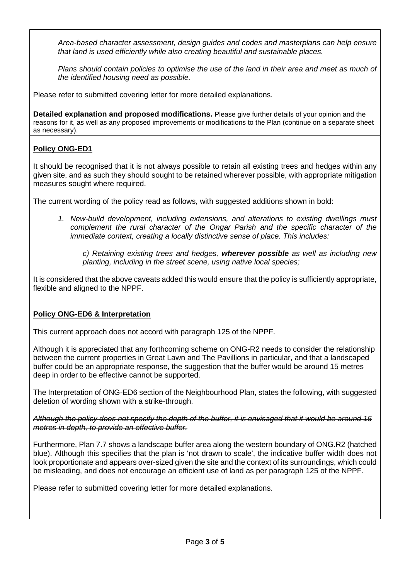*Area-based character assessment, design guides and codes and masterplans can help ensure that land is used efficiently while also creating beautiful and sustainable places.*

*Plans should contain policies to optimise the use of the land in their area and meet as much of the identified housing need as possible.*

Please refer to submitted covering letter for more detailed explanations.

**Detailed explanation and proposed modifications.** Please give further details of your opinion and the reasons for it, as well as any proposed improvements or modifications to the Plan (continue on a separate sheet as necessary).

### **Policy ONG-ED1**

It should be recognised that it is not always possible to retain all existing trees and hedges within any given site, and as such they should sought to be retained wherever possible, with appropriate mitigation measures sought where required.

The current wording of the policy read as follows, with suggested additions shown in bold:

*1. New-build development, including extensions, and alterations to existing dwellings must complement the rural character of the Ongar Parish and the specific character of the immediate context, creating a locally distinctive sense of place. This includes:*

*c) Retaining existing trees and hedges, wherever possible as well as including new planting, including in the street scene, using native local species;*

It is considered that the above caveats added this would ensure that the policy is sufficiently appropriate, flexible and aligned to the NPPF.

### **Policy ONG-ED6 & Interpretation**

This current approach does not accord with paragraph 125 of the NPPF.

Although it is appreciated that any forthcoming scheme on ONG-R2 needs to consider the relationship between the current properties in Great Lawn and The Pavillions in particular, and that a landscaped buffer could be an appropriate response, the suggestion that the buffer would be around 15 metres deep in order to be effective cannot be supported.

The Interpretation of ONG-ED6 section of the Neighbourhood Plan, states the following, with suggested deletion of wording shown with a strike-through.

*Although the policy does not specify the depth of the buffer, it is envisaged that it would be around 15 metres in depth, to provide an effective buffer.*

Furthermore, Plan 7.7 shows a landscape buffer area along the western boundary of ONG.R2 (hatched blue). Although this specifies that the plan is 'not drawn to scale', the indicative buffer width does not look proportionate and appears over-sized given the site and the context of its surroundings, which could be misleading, and does not encourage an efficient use of land as per paragraph 125 of the NPPF.

Please refer to submitted covering letter for more detailed explanations.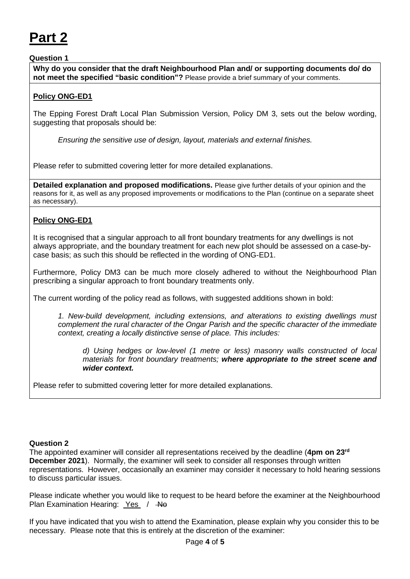# **Part 2**

### **Question 1**

**Why do you consider that the draft Neighbourhood Plan and/ or supporting documents do/ do not meet the specified "basic condition"?** Please provide a brief summary of your comments.

### **Policy ONG-ED1**

The Epping Forest Draft Local Plan Submission Version, Policy DM 3, sets out the below wording, suggesting that proposals should be:

*Ensuring the sensitive use of design, layout, materials and external finishes.*

Please refer to submitted covering letter for more detailed explanations.

**Detailed explanation and proposed modifications.** Please give further details of your opinion and the reasons for it, as well as any proposed improvements or modifications to the Plan (continue on a separate sheet as necessary).

### **Policy ONG-ED1**

It is recognised that a singular approach to all front boundary treatments for any dwellings is not always appropriate, and the boundary treatment for each new plot should be assessed on a case-bycase basis; as such this should be reflected in the wording of ONG-ED1.

Furthermore, Policy DM3 can be much more closely adhered to without the Neighbourhood Plan prescribing a singular approach to front boundary treatments only.

The current wording of the policy read as follows, with suggested additions shown in bold:

*1. New-build development, including extensions, and alterations to existing dwellings must complement the rural character of the Ongar Parish and the specific character of the immediate context, creating a locally distinctive sense of place. This includes:*

*d) Using hedges or low-level (1 metre or less) masonry walls constructed of local materials for front boundary treatments; where appropriate to the street scene and wider context.*

Please refer to submitted covering letter for more detailed explanations.

#### **Question 2**

The appointed examiner will consider all representations received by the deadline (**4pm on 23rd December 2021**). Normally, the examiner will seek to consider all responses through written representations. However, occasionally an examiner may consider it necessary to hold hearing sessions to discuss particular issues.

Please indicate whether you would like to request to be heard before the examiner at the Neighbourhood Plan Examination Hearing: Yes / He

If you have indicated that you wish to attend the Examination, please explain why you consider this to be necessary. Please note that this is entirely at the discretion of the examiner: